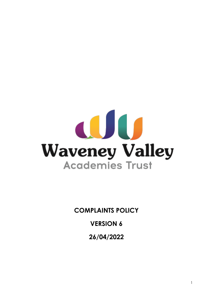

**COMPLAINTS POLICY**

**VERSION 6**

**26/04/2022**

1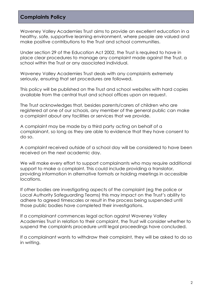# **Complaints Policy**

Waveney Valley Academies Trust aims to provide an excellent education in a healthy, safe, supportive learning environment, where people are valued and make positive contributions to the Trust and school communities.

Under section 29 of the Education Act 2002, the Trust is required to have in place clear procedures to manage any complaint made against the Trust, a school within the Trust or any associated individual.

Waveney Valley Academies Trust deals with any complaints extremely seriously, ensuring that set procedures are followed.

This policy will be published on the Trust and school websites with hard copies available from the central trust and school offices upon on request.

The Trust acknowledges that, besides parents/carers of children who are registered at one of our schools, any member of the general public can make a complaint about any facilities or services that we provide.

A complaint may be made by a third party acting on behalf of a complainant, so long as they are able to evidence that they have consent to do so.

A complaint received outside of a school day will be considered to have been received on the next academic day.

We will make every effort to support complainants who may require additional support to make a complaint. This could include providing a translator, providing information in alternative formats or holding meetings in accessible locations.

If other bodies are investigating aspects of the complaint (eg the police or Local Authority Safeguarding Teams) this may impact on the Trust's ability to adhere to agreed timescales or result in the process being suspended until those public bodies have completed their investigations.

If a complainant commences legal action against Waveney Valley Academies Trust in relation to their complaint, the Trust will consider whether to suspend the complaints procedure until legal proceedings have concluded.

If a complainant wants to withdraw their complaint, they will be asked to do so in writing.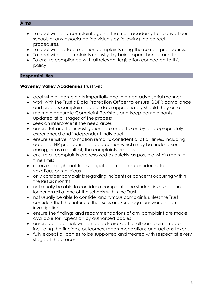#### **Aims**

- To deal with any complaint against the multi academy trust, any of our schools or any associated individuals by following the correct procedures.
- To deal with data protection complaints using the correct procedures.
- To deal with all complaints robustly, by being open, honest and fair.
- To ensure compliance with all relevant legislation connected to this policy.

### **Responsibilities**

### **Waveney Valley Academies Trust** will:

- deal with all complaints impartially and in a non-adversarial manner
- work with the Trust's Data Protection Officer to ensure GDPR compliance and process complaints about data appropriately should they arise
- maintain accurate Complaint Registers and keep complainants updated at all stages of the process
- seek an interpreter if the need arises
- ensure full and fair investigations are undertaken by an appropriately experienced and independent individual
- ensure sensitive information remains confidential at all times, including details of HR procedures and outcomes which may be undertaken during, or as a result of, the complaints process
- ensure all complaints are resolved as quickly as possible within realistic time limits
- reserve the right not to investigate complaints considered to be vexatious or malicious
- only consider complaints regarding incidents or concerns occurring within the last six months
- not usually be able to consider a complaint if the student involved is no longer on roll at one of the schools within the Trust
- not usually be able to consider anonymous complaints unless the Trust considers that the nature of the issues and/or allegations warrants an investigation
- ensure the findings and recommendations of any complaint are made available for inspection by authorised bodies
- ensure confidential, written records are kept of all complaints made including the findings, outcomes, recommendations and actions taken.
- fully expect all parties to be supported and treated with respect at every stage of the process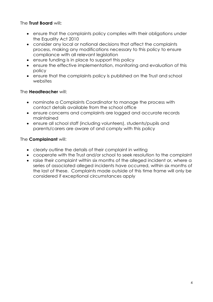## The **Trust Board** will**:**

- ensure that the complaints policy complies with their obligations under the Equality Act 2010
- consider any local or national decisions that affect the complaints process, making any modifications necessary to this policy to ensure compliance with all relevant legislation
- ensure funding is in place to support this policy
- ensure the effective implementation, monitoring and evaluation of this policy
- ensure that the complaints policy is published on the Trust and school websites

## The **Headteacher** will:

- nominate a Complaints Coordinator to manage the process with contact details available from the school office
- ensure concerns and complaints are logged and accurate records maintained
- ensure all school staff (including volunteers), students/pupils and parents/carers are aware of and comply with this policy

## The **Complainant** will:

- clearly outline the details of their complaint in writing
- cooperate with the Trust and/or school to seek resolution to the complaint
- raise their complaint within six months of the alleged incident or, where a series of associated alleged incidents have occurred, within six months of the last of these. Complaints made outside of this time frame will only be considered if exceptional circumstances apply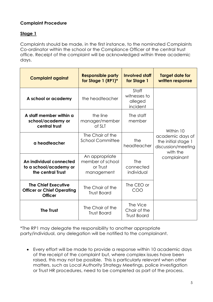# **Complaint Procedure**

# **Stage 1**

Complaints should be made, in the first instance, to the nominated Complaints Co-ordinator within the school or the Compliance Officer at the central trust office. Receipt of the complaint will be acknowledged within three academic days.

| <b>Complaint against</b>                                                          | <b>Responsible party</b><br>for Stage 1 (RP1)*               | <b>Involved staff</b><br>for Stage 1           | <b>Target date for</b><br>written response                                |
|-----------------------------------------------------------------------------------|--------------------------------------------------------------|------------------------------------------------|---------------------------------------------------------------------------|
| A school or academy                                                               | the headteacher                                              | Staff<br>witnesses to<br>alleged<br>incident   |                                                                           |
| A staff member within a<br>school/academy or<br>central trust                     | the line<br>manager/member<br>of SLT                         | The staff<br>member                            | Within 10                                                                 |
| a headteacher                                                                     | The Chair of the<br><b>School Committee</b>                  | the<br>headteacher                             | academic days of<br>the initial stage 1<br>discussion/meeting<br>with the |
| An individual connected<br>to a school/academy or<br>the central Trust            | An appropriate<br>member of school<br>or Trust<br>management | The<br>connected<br>individual                 | complainant                                                               |
| <b>The Chief Executive</b><br><b>Officer or Chief Operating</b><br><b>Officer</b> | The Chair of the<br><b>Trust Board</b>                       | The CEO or<br>COO                              |                                                                           |
| <b>The Trust</b>                                                                  | The Chair of the<br><b>Trust Board</b>                       | The Vice<br>Chair of the<br><b>Trust Board</b> |                                                                           |

\*The RP1 may delegate the responsibility to another appropriate party/individual, any delegation will be notified to the complainant.

• Every effort will be made to provide a response within 10 academic days of the receipt of the complaint but, where complex issues have been raised, this may not be possible. This is particularly relevant when other matters, such as Local Authority Strategy Meetings, police investigation or Trust HR procedures, need to be completed as part of the process.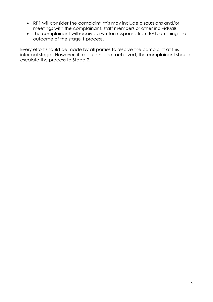- RP1 will consider the complaint, this may include discussions and/or meetings with the complainant, staff members or other individuals
- The complainant will receive a written response from RP1, outlining the outcome of the stage 1 process.

Every effort should be made by all parties to resolve the complaint at this informal stage. However, if resolution is not achieved, the complainant should escalate the process to Stage 2.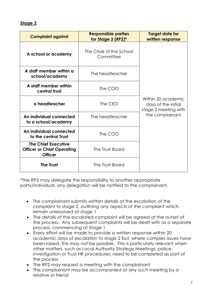## **Stage 2**

| <b>Complaint against</b>                                                          | <b>Responsible parties</b><br>for Stage 2 (RP2)* | <b>Target date for</b><br>written response                        |  |
|-----------------------------------------------------------------------------------|--------------------------------------------------|-------------------------------------------------------------------|--|
| A school or academy                                                               | The Chair of the School<br>Committee             |                                                                   |  |
| A staff member within a<br>school/academy                                         | The headteacher                                  |                                                                   |  |
| A staff member within<br>central trust                                            | The COO                                          |                                                                   |  |
| a headteacher                                                                     | The CEO                                          | Within 20 academic<br>days of the initial<br>stage 2 meeting with |  |
| An individual connected<br>to a school/academy                                    | The headteacher                                  | the complainant                                                   |  |
| An individual connected<br>to the central Trust                                   | The COO                                          |                                                                   |  |
| <b>The Chief Executive</b><br><b>Officer or Chief Operating</b><br><b>Officer</b> | The Trust Board                                  |                                                                   |  |
| <b>The Trust</b>                                                                  | The Trust Board                                  |                                                                   |  |

\*The RP2 may delegate the responsibility to another appropriate party/individual, any delegation will be notified to the complainant.

- The complainant submits written details of the escalation of the complaint to stage 2, outlining any aspects of the complaint which remain unresolved at stage 1
- The details of the escalated complaint will be agreed at the outset of the process. Any subsequent complaints will be dealt with as a separate process, commencing at Stage 1
- Every effort will be made to provide a written response within 20 academic days of escalation to stage 2 but, where complex issues have been raised, this may not be possible. This is particularly relevant when other matters, such as Local Authority Strategy Meetings, police investigation or Trust HR procedures, need to be completed as part of the process
- The RP2 may request a meeting with the complainant
- The complainant may be accompanied at any such meeting by a relative or friend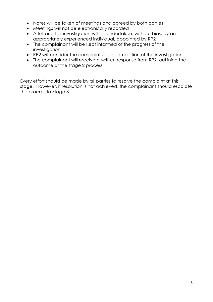- Notes will be taken of meetings and agreed by both parties
- Meetings will not be electronically recorded
- A full and fair investigation will be undertaken, without bias, by an appropriately experienced individual, appointed by RP2
- The complainant will be kept informed of the progress of the investigation
- RP2 will consider the complaint upon completion of the investigation
- The complainant will receive a written response from RP2, outlining the outcome of the stage 2 process

Every effort should be made by all parties to resolve the complaint at this stage. However, if resolution is not achieved, the complainant should escalate the process to Stage 3.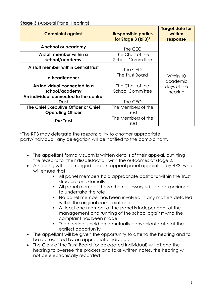**Stage 3** (Appeal Panel Hearing)

| <b>Complaint against</b>                                         | <b>Responsible parties</b><br>for Stage 3 (RP3)* | Target date for<br>written<br>response          |
|------------------------------------------------------------------|--------------------------------------------------|-------------------------------------------------|
| A school or academy                                              | The CEO                                          |                                                 |
| A staff member within a<br>school/academy                        | The Chair of the<br><b>School Committee</b>      |                                                 |
| A staff member within central trust                              | The CEO                                          |                                                 |
| a headteacher                                                    | The Trust Board                                  | Within 10<br>academic<br>days of the<br>hearing |
| An individual connected to a<br>school/academy                   | The Chair of the<br><b>School Committee</b>      |                                                 |
| An individual connected to the central<br><b>Trust</b>           | The CEO                                          |                                                 |
| The Chief Executive Officer or Chief<br><b>Operating Officer</b> | The Members of the<br>Trust                      |                                                 |
| <b>The Trust</b>                                                 | The Members of the<br>Trust                      |                                                 |

\*The RP3 may delegate the responsibility to another appropriate party/individual, any delegation will be notified to the complainant.

- The appellant formally submits written details of their appeal, outlining the reasons for their dissatisfaction with the outcomes of stage 2.
- A hearing will be arranged and an appeal panel appointed by RP3, who will ensure that:
	- All panel members hold appropriate positions within the Trust structure or externally
	- All panel members have the necessary skills and experience to undertake the role
	- No panel member has been involved in any matters detailed within the original complaint or appeal
	- At least one member of the panel is independent of the management and running of the school against who the complaint has been made
	- The hearing is held on a mutually convenient date, at the earliest opportunity
- The appellant will be given the opportunity to attend the hearing and to be represented by an appropriate individual
- The Clerk of the Trust Board (or delegated individual) will attend the hearing to oversee the process and take written notes, the hearing will not be electronically recorded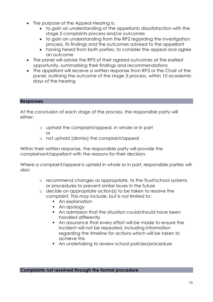- The purpose of the Appeal Hearing is:
	- to gain an understanding of the appellants dissatisfaction with the stage 2 complaints process and/or outcomes
	- to gain an understanding from the RP2 regarding the investigation process, its findings and the outcomes advised to the appellant
	- having heard from both parties, to consider the appeal and agree an outcome
- The panel will advise the RP3 of their agreed outcomes at the earliest opportunity, summarising their findings and recommendations
- The appellant will receive a written response from RP3 or the Chair of the panel, outlining the outcome of the stage 3 process, within 10 academic days of the hearing

### **Responses**

At the conclusion of each stage of the process, the responsible party will either:

- o uphold the complaint/appeal, in whole or in part or
- o not uphold (dismiss) the complaint/appeal

Within their written response, the responsible party will provide the complainant/appellant with the reasons for their decision.

Where a complaint/appeal is upheld in whole or in part, responsible parties will also:

- o recommend changes as appropriate, to the Trust/school systems or procedures to prevent similar issues in the future
- o decide on appropriate action(s) to be taken to resolve the complaint. This may include, but is not limited to:
	- An explanation
	- An apology
	- An admission that the situation could/should have been handled differently
	- An assurance that every effort will be made to ensure the incident will not be repeated, including information regarding the timeline for actions which will be taken to achieve this
	- An undertaking to review school policies/procedure

### **Complaints not resolved through the formal procedure**